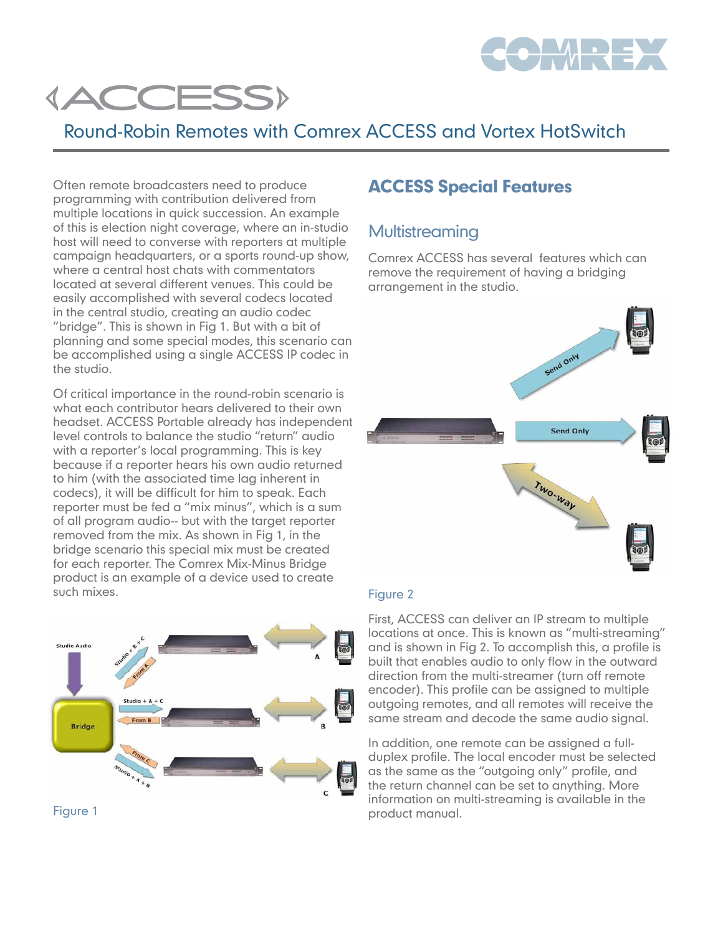

# **{ACCESS}**

# Round-Robin Remotes with Comrex ACCESS and Vortex HotSwitch

Often remote broadcasters need to produce programming with contribution delivered from multiple locations in quick succession. An example of this is election night coverage, where an in-studio host will need to converse with reporters at multiple campaign headquarters, or a sports round-up show, where a central host chats with commentators located at several different venues. This could be easily accomplished with several codecs located in the central studio, creating an audio codec "bridge". This is shown in Fig 1. But with a bit of planning and some special modes, this scenario can be accomplished using a single ACCESS IP codec in the studio.

Of critical importance in the round-robin scenario is what each contributor hears delivered to their own headset. ACCESS Portable already has independent level controls to balance the studio "return" audio with a reporter's local programming. This is key because if a reporter hears his own audio returned to him (with the associated time lag inherent in codecs), it will be difficult for him to speak. Each reporter must be fed a "mix minus", which is a sum of all program audio-- but with the target reporter removed from the mix. As shown in Fig 1, in the bridge scenario this special mix must be created for each reporter. The Comrex Mix-Minus Bridge product is an example of a device used to create such mixes.





## ACCESS Special Features

### **Multistreaming**

Comrex ACCESS has several features which can remove the requirement of having a bridging arrangement in the studio.



#### Figure 2

First, ACCESS can deliver an IP stream to multiple locations at once. This is known as "multi-streaming" and is shown in Fig 2. To accomplish this, a profile is built that enables audio to only flow in the outward direction from the multi-streamer (turn off remote encoder). This profile can be assigned to multiple outgoing remotes, and all remotes will receive the same stream and decode the same audio signal.

In addition, one remote can be assigned a fullduplex profile. The local encoder must be selected as the same as the "outgoing only" profile, and the return channel can be set to anything. More information on multi-streaming is available in the product manual.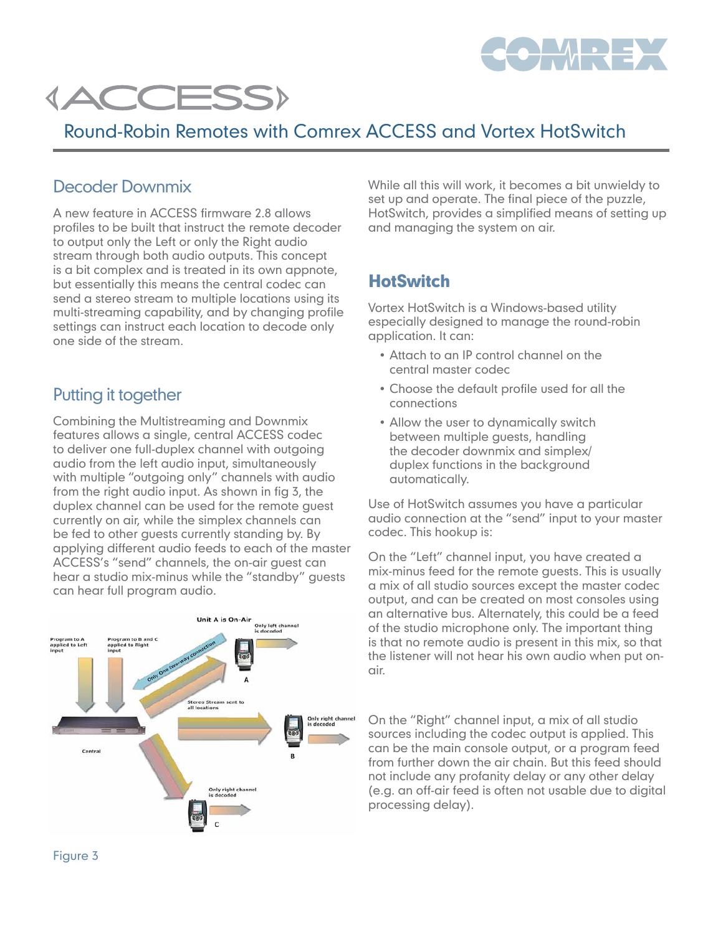



# Round-Robin Remotes with Comrex ACCESS and Vortex HotSwitch

#### Decoder Downmix

A new feature in ACCESS firmware 2.8 allows profiles to be built that instruct the remote decoder to output only the Left or only the Right audio stream through both audio outputs. This concept is a bit complex and is treated in its own appnote, but essentially this means the central codec can send a stereo stream to multiple locations using its multi-streaming capability, and by changing profile settings can instruct each location to decode only one side of the stream.

#### Putting it together

Combining the Multistreaming and Downmix features allows a single, central ACCESS codec to deliver one full-duplex channel with outgoing audio from the left audio input, simultaneously with multiple "outgoing only" channels with audio from the right audio input. As shown in fig 3, the duplex channel can be used for the remote guest currently on air, while the simplex channels can be fed to other guests currently standing by. By applying different audio feeds to each of the master ACCESS's "send" channels, the on-air guest can hear a studio mix-minus while the "standby" guests can hear full program audio.



While all this will work, it becomes a bit unwieldy to set up and operate. The final piece of the puzzle, HotSwitch, provides a simplified means of setting up and managing the system on air.

### **HotSwitch**

Vortex HotSwitch is a Windows-based utility especially designed to manage the round-robin application. It can:

- Attach to an IP control channel on the central master codec
- • Choose the default profile used for all the connections
- Allow the user to dynamically switch between multiple guests, handling the decoder downmix and simplex/ duplex functions in the background automatically.

Use of HotSwitch assumes you have a particular audio connection at the "send" input to your master codec. This hookup is:

On the "Left" channel input, you have created a mix-minus feed for the remote guests. This is usually a mix of all studio sources except the master codec output, and can be created on most consoles using an alternative bus. Alternately, this could be a feed of the studio microphone only. The important thing is that no remote audio is present in this mix, so that the listener will not hear his own audio when put onair.

On the "Right" channel input, a mix of all studio sources including the codec output is applied. This can be the main console output, or a program feed from further down the air chain. But this feed should not include any profanity delay or any other delay (e.g. an off-air feed is often not usable due to digital processing delay).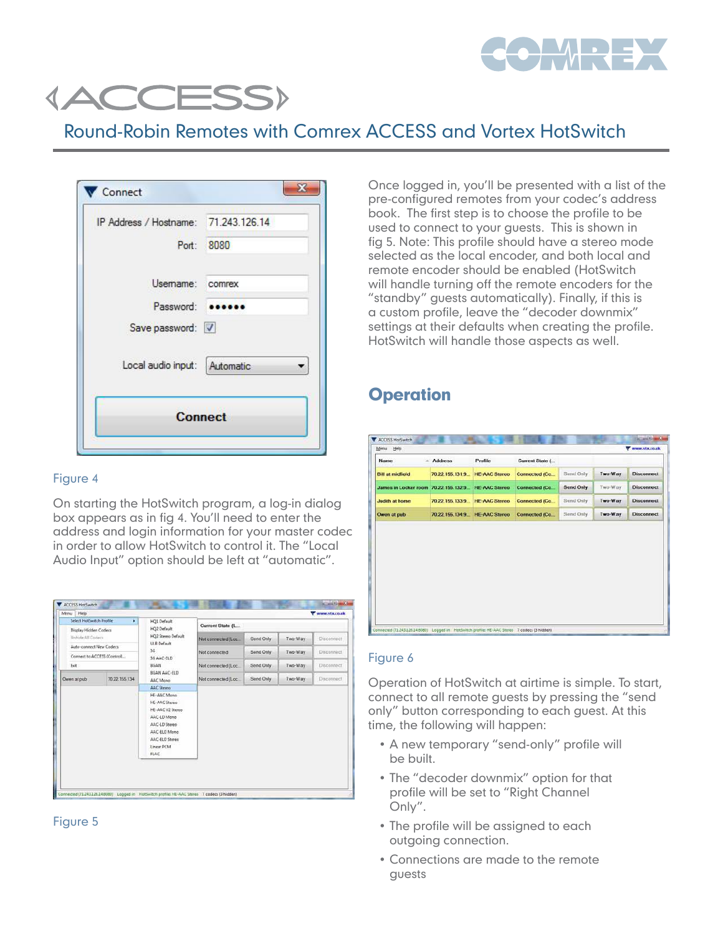

# **(ACCESS)**

# Round-Robin Remotes with Comrex ACCESS and Vortex HotSwitch

| IP Address / Hostname: 71.243.126.14 |            |
|--------------------------------------|------------|
|                                      | Port: 8080 |
| Usemame: comrex                      |            |
| Password:                            |            |
| Save password: V                     |            |
| Local audio input: Automatic         |            |
| <b>Connect</b>                       |            |

#### Figure 4

On starting the HotSwitch program, a log-in dialog box appears as in fig 4. You'll need to enter the address and login information for your master codec in order to allow HotSwitch to control it. The "Local Audio Input" option should be left at "automatic".

| Menu<br>Help<br>Select HotSwitch Profile | ٠                           | HQ1 Default                                                                                                                                      |                      |           |          | Www.vtx.co.uk     |
|------------------------------------------|-----------------------------|--------------------------------------------------------------------------------------------------------------------------------------------------|----------------------|-----------|----------|-------------------|
| Display Hidden Codecs                    |                             | HQ2 Default                                                                                                                                      | Current State (L.    |           |          |                   |
| Unhide All Coders                        |                             | HQ2 Stereo Default<br><b>UEB Default</b>                                                                                                         | Not connected (Loc   | Send Only | Two-Way  | Disconnect        |
| Auto-connect New Codecs:                 |                             | 36                                                                                                                                               | Not connected        | Send Only | Two-Way  | Disconnect        |
|                                          | Connect to ACCESS (Control) | 3G AAC-FLD                                                                                                                                       |                      |           |          |                   |
| Est.                                     |                             | BGAN                                                                                                                                             | Not connected (Loc.  | Send Only | Two-Way  | <b>Disconnect</b> |
| Owen at pub                              | 70 22 155 134               | BGAN AAC-FLD<br>AAC Meno                                                                                                                         | Not connected (Loc.) | Send Only | Two-Way: | Disconnect        |
|                                          |                             | AAC Stereo                                                                                                                                       |                      |           |          |                   |
|                                          |                             | HE-AAC Mono<br><b>HE-AAC Stereo</b><br>HE-AAC V2 Stereo<br>AAC-LD Mono<br>AAC-LD Stereo<br>AAC-ELD Mone<br>AAC-ELD Stereo<br>Linear PCM<br>FLAC. |                      |           |          |                   |
|                                          |                             |                                                                                                                                                  |                      |           |          |                   |



Once logged in, you'll be presented with a list of the pre-configured remotes from your codec's address book. The first step is to choose the profile to be used to connect to your guests. This is shown in fig 5. Note: This profile should have a stereo mode selected as the local encoder, and both local and remote encoder should be enabled (HotSwitch will handle turning off the remote encoders for the "standby" guests automatically). Finally, if this is a custom profile, leave the "decoder downmix" settings at their defaults when creating the profile. HotSwitch will handle those aspects as well.

## **Operation**

| Name                    | Address         | Profile              | Current State (      |                  |         |                   |
|-------------------------|-----------------|----------------------|----------------------|------------------|---------|-------------------|
| <b>Bill at midfield</b> | 70.22.155.131.9 | <b>HE-AAC Stereo</b> | Connected (Co        | Send Only        | Two-Way | <b>Disconnect</b> |
| James in Locker room    | 70.22.155.132.9 | <b>HE AAC Stareo</b> | <b>Connected (Co</b> | <b>Send Only</b> | Two-Way | <b>Disconnect</b> |
| Judith at home          | 70.22.155.133.9 | <b>HE-AAC Stereo</b> | Connected (Co        | Send Only        | Two-Way | <b>Disconnect</b> |
|                         |                 |                      |                      |                  |         |                   |
| Owen at pub             | 70.22.155.134.9 | <b>HE-AAC Stereo</b> | Connected (Co        | Send Only        | Two-Way | <b>Disconnect</b> |
|                         |                 |                      |                      |                  |         |                   |
|                         |                 |                      |                      |                  |         |                   |
|                         |                 |                      |                      |                  |         |                   |

#### Figure 6

Operation of HotSwitch at airtime is simple. To start, connect to all remote guests by pressing the "send only" button corresponding to each guest. At this time, the following will happen:

- A new temporary "send-only" profile will be built.
- The "decoder downmix" option for that profile will be set to "Right Channel Only".
- The profile will be assigned to each outgoing connection.
- • Connections are made to the remote guests